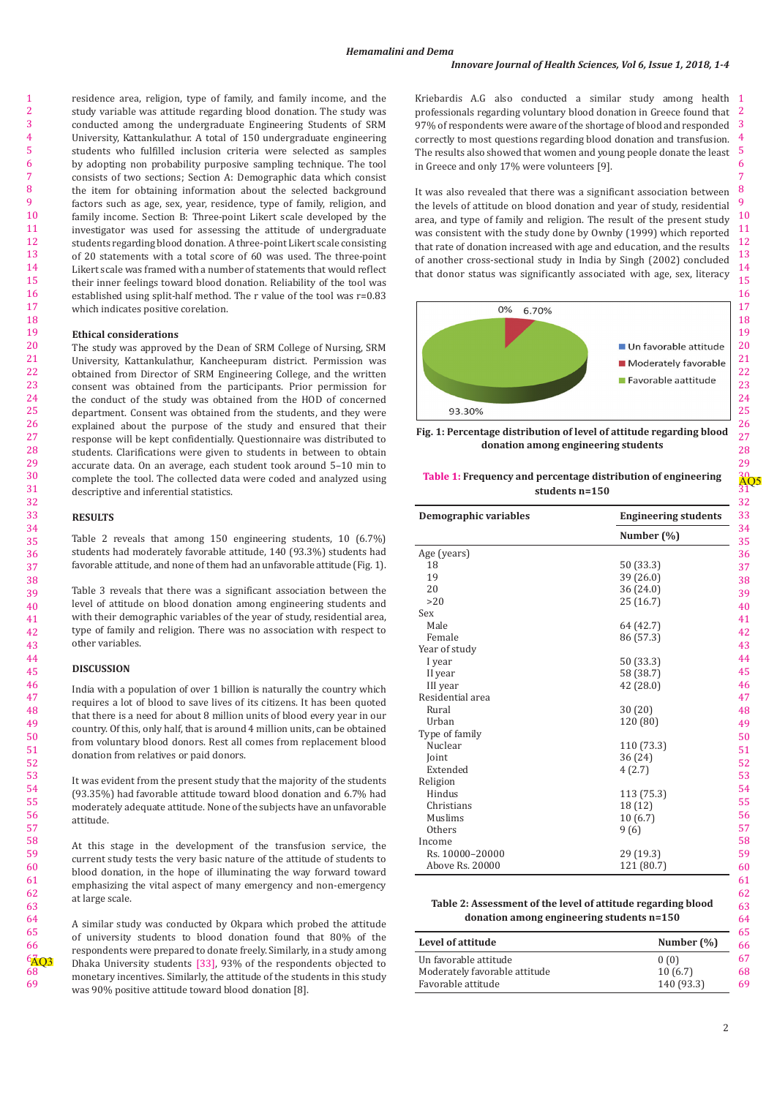residence area, religion, type of family, and family income, and the study variable was attitude regarding blood donation. The study was conducted among the undergraduate Engineering Students of SRM University, Kattankulathur. A total of 150 undergraduate engineering students who fulfilled inclusion criteria were selected as samples by adopting non probability purposive sampling technique. The tool consists of two sections; Section A: Demographic data which consist the item for obtaining information about the selected background factors such as age, sex, year, residence, type of family, religion, and family income. Section B: Three-point Likert scale developed by the investigator was used for assessing the attitude of undergraduate students regarding blood donation. A three-point Likert scale consisting of 20 statements with a total score of 60 was used. The three-point Likert scale was framed with a number of statements that would reflect their inner feelings toward blood donation. Reliability of the tool was established using split-half method. The r value of the tool was r=0.83 which indicates positive corelation.

#### **Ethical considerations**

The study was approved by the Dean of SRM College of Nursing, SRM University, Kattankulathur, Kancheepuram district. Permission was obtained from Director of SRM Engineering College, and the written consent was obtained from the participants. Prior permission for the conduct of the study was obtained from the HOD of concerned department. Consent was obtained from the students, and they were explained about the purpose of the study and ensured that their response will be kept confidentially. Questionnaire was distributed to students. Clarifications were given to students in between to obtain accurate data. On an average, each student took around 5–10 min to complete the tool. The collected data were coded and analyzed using descriptive and inferential statistics.

### **RESULTS**

Table 2 reveals that among 150 engineering students, 10 (6.7%) students had moderately favorable attitude, 140 (93.3%) students had favorable attitude, and none of them had an unfavorable attitude (Fig. 1).

Table 3 reveals that there was a significant association between the level of attitude on blood donation among engineering students and with their demographic variables of the year of study, residential area, type of family and religion. There was no association with respect to other variables.

#### **DISCUSSION**

India with a population of over 1 billion is naturally the country which requires a lot of blood to save lives of its citizens. It has been quoted that there is a need for about 8 million units of blood every year in our country. Of this, only half, that is around 4 million units, can be obtained from voluntary blood donors. Rest all comes from replacement blood donation from relatives or paid donors.

It was evident from the present study that the majority of the students (93.35%) had favorable attitude toward blood donation and 6.7% had moderately adequate attitude. None of the subjects have an unfavorable attitude.

At this stage in the development of the transfusion service, the current study tests the very basic nature of the attitude of students to blood donation, in the hope of illuminating the way forward toward emphasizing the vital aspect of many emergency and non-emergency at large scale.

A similar study was conducted by Okpara which probed the attitude of university students to blood donation found that 80% of the respondents were prepared to donate freely. Similarly, in a study among Dhaka University students  [33], 93% of the respondents objected to monetary incentives. Similarly, the attitude of the students in this study was 90% positive attitude toward blood donation [8].

Kriebardis A.G also conducted a similar study among health I 2 professionals regarding voluntary blood donation in Greece found that 3 97% of respondents were aware of the shortage of blood and responded correctly to most questions regarding blood donation and transfusion. The results also showed that women and young people donate the least in Greece and only 17% were volunteers [9].

It was also revealed that there was a significant association between the levels of attitude on blood donation and year of study, residential area, and type of family and religion. The result of the present study was consistent with the study done by Ownby (1999) which reported that rate of donation increased with age and education, and the results of another cross-sectional study in India by Singh (2002) concluded that donor status was significantly associated with age, sex, literacy





## **Table 1: Frequency and percentage distribution of engineering students n=150**

| Demographic variables | <b>Engineering students</b> |
|-----------------------|-----------------------------|
|                       | Number (%)                  |
| Age (years)           |                             |
| 18                    | 50 (33.3)                   |
| 19                    | 39 (26.0)                   |
| 20                    | 36 (24.0)                   |
| >20                   | 25 (16.7)                   |
| Sex                   |                             |
| Male                  | 64 (42.7)                   |
| Female                | 86 (57.3)                   |
| Year of study         |                             |
| I year                | 50 (33.3)                   |
| II year               | 58 (38.7)                   |
| III year              | 42 (28.0)                   |
| Residential area      |                             |
| Rural                 | 30(20)                      |
| Urban                 | 120 (80)                    |
| Type of family        |                             |
| Nuclear               | 110 (73.3)                  |
| Joint                 | 36(24)                      |
| Extended              | 4(2.7)                      |
| Religion              |                             |
| Hindus                | 113 (75.3)                  |
| Christians            | 18 (12)                     |
| Muslims               | 10(6.7)                     |
| Others                | 9(6)                        |
| Income                |                             |
| Rs. 10000-20000       | 29 (19.3)                   |
| Above Rs. 20000       | 121 (80.7)                  |

# **Table 2: Assessment of the level of attitude regarding blood donation among engineering students n=150**

| Level of attitude             | Number $(\%)$ |  |
|-------------------------------|---------------|--|
| Un favorable attitude         | 0(0)          |  |
| Moderately favorable attitude | 10(6.7)       |  |
| Favorable attitude            | 140 (93.3)    |  |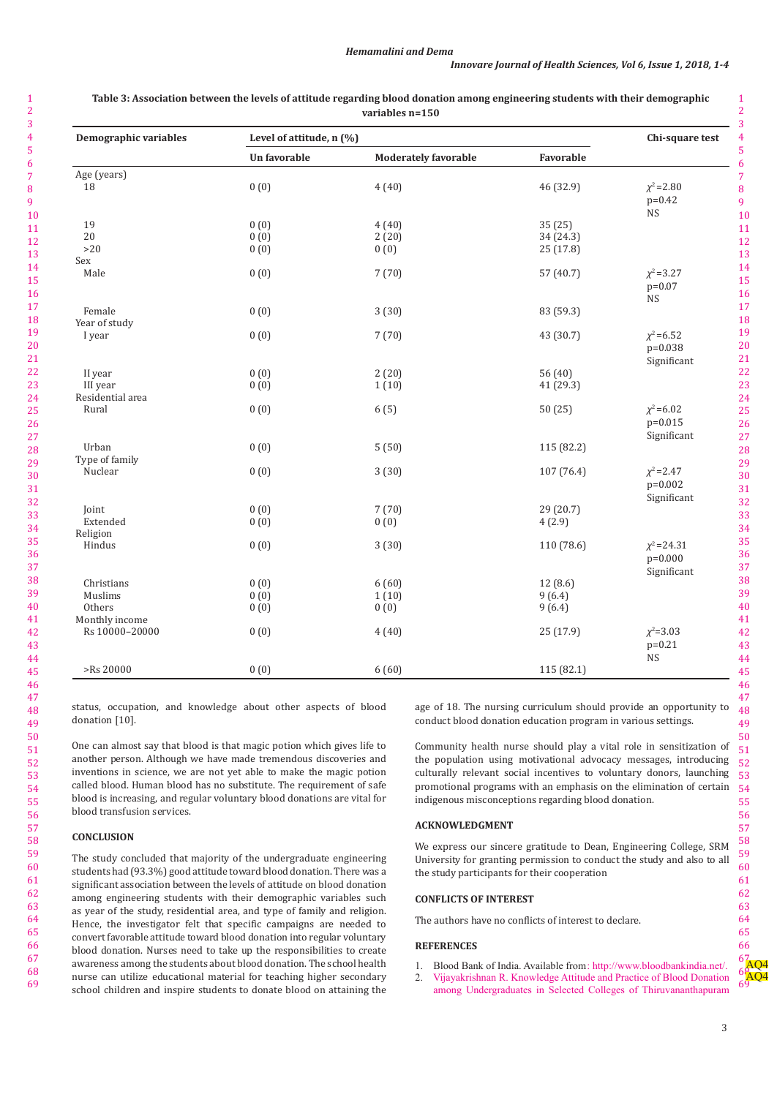$\overline{2}$ 

| Demographic variables   | Level of attitude, n (%) |                             |            | Chi-square test                                 |
|-------------------------|--------------------------|-----------------------------|------------|-------------------------------------------------|
|                         | Un favorable             | <b>Moderately favorable</b> | Favorable  |                                                 |
| Age (years)             |                          |                             |            |                                                 |
| 18                      | 0(0)                     | 4(40)                       | 46 (32.9)  | $\chi^2$ =2.80<br>$p=0.42$<br>$\mathop{\rm NS}$ |
| 19                      | 0(0)                     | 4(40)                       | 35(25)     |                                                 |
| 20                      | 0(0)                     | 2(20)                       | 34 (24.3)  |                                                 |
| >20                     | 0(0)                     | 0(0)                        | 25 (17.8)  |                                                 |
| Sex                     |                          |                             |            |                                                 |
| Male                    | 0(0)                     | 7(70)                       | 57 (40.7)  | $\chi^2 = 3.27$<br>$p=0.07$<br><b>NS</b>        |
| Female<br>Year of study | 0(0)                     | 3(30)                       | 83 (59.3)  |                                                 |
| I year                  | 0(0)                     | 7(70)                       | 43 (30.7)  | $\chi^2$ =6.52<br>$p=0.038$<br>Significant      |
| II year                 | 0(0)                     | 2(20)                       | 56 $(40)$  |                                                 |
| III year                | 0(0)                     | 1(10)                       | 41 (29.3)  |                                                 |
| Residential area        |                          |                             |            |                                                 |
| Rural                   | 0(0)                     | 6(5)                        | 50(25)     | $\chi^2$ =6.02<br>$p=0.015$<br>Significant      |
| Urban                   | 0(0)                     | 5(50)                       | 115 (82.2) |                                                 |
| Type of family          |                          |                             |            |                                                 |
| Nuclear                 | 0(0)                     | 3(30)                       | 107 (76.4) | $\chi^2$ = 2.47<br>$p=0.002$<br>Significant     |
| Joint                   | 0(0)                     | 7(70)                       | 29 (20.7)  |                                                 |
| Extended                | 0(0)                     | 0(0)                        | 4(2.9)     |                                                 |
| Religion                |                          |                             |            |                                                 |
| Hindus                  | 0(0)                     | 3(30)                       | 110 (78.6) | $\chi^2$ =24.31<br>$p=0.000$<br>Significant     |
| Christians              | 0(0)                     | 6(60)                       | 12(8.6)    |                                                 |
| Muslims                 | 0(0)                     | 1(10)                       | 9(6.4)     |                                                 |
| Others                  | 0(0)                     | 0(0)                        | 9(6.4)     |                                                 |
| Monthly income          |                          |                             |            |                                                 |
| Rs 10000-20000          | 0(0)                     | 4(40)                       | 25 (17.9)  | $\chi^2 = 3.03$<br>$p=0.21$<br><b>NS</b>        |
| >Rs 20000               | 0(0)                     | 6(60)                       | 115 (82.1) |                                                 |

**Table 3: Association between the levels of attitude regarding blood donation among engineering students with their demographic variables n=150**

status, occupation, and knowledge about other aspects of blood donation [10].

One can almost say that blood is that magic potion which gives life to another person. Although we have made tremendous discoveries and inventions in science, we are not yet able to make the magic potion called blood. Human blood has no substitute. The requirement of safe blood is increasing, and regular voluntary blood donations are vital for blood transfusion services.

# **CONCLUSION**

The study concluded that majority of the undergraduate engineering students had (93.3%) good attitude toward blood donation. There was a significant association between the levels of attitude on blood donation among engineering students with their demographic variables such as year of the study, residential area, and type of family and religion. Hence, the investigator felt that specific campaigns are needed to convert favorable attitude toward blood donation into regular voluntary blood donation. Nurses need to take up the responsibilities to create awareness among the students about blood donation. The school health nurse can utilize educational material for teaching higher secondary school children and inspire students to donate blood on attaining the

age of 18. The nursing curriculum should provide an opportunity to conduct blood donation education program in various settings.

Community health nurse should play a vital role in sensitization of the population using motivational advocacy messages, introducing culturally relevant social incentives to voluntary donors, launching promotional programs with an emphasis on the elimination of certain indigenous misconceptions regarding blood donation.

#### **ACKNOWLEDGMENT**

We express our sincere gratitude to Dean, Engineering College, SRM University for granting permission to conduct the study and also to all the study participants for their cooperation

#### **CONFLICTS OF INTEREST**

The authors have no conflicts of interest to declare.

#### **REFERENCES**

- 1. Blood Bank of India. Available from : http://www.bloodbankindia.net/.
- 2. Vijayakrishnan R. Knowledge Attitude and Practice of Blood Donation among Undergraduates in Selected Colleges of Thiruvananthapuram